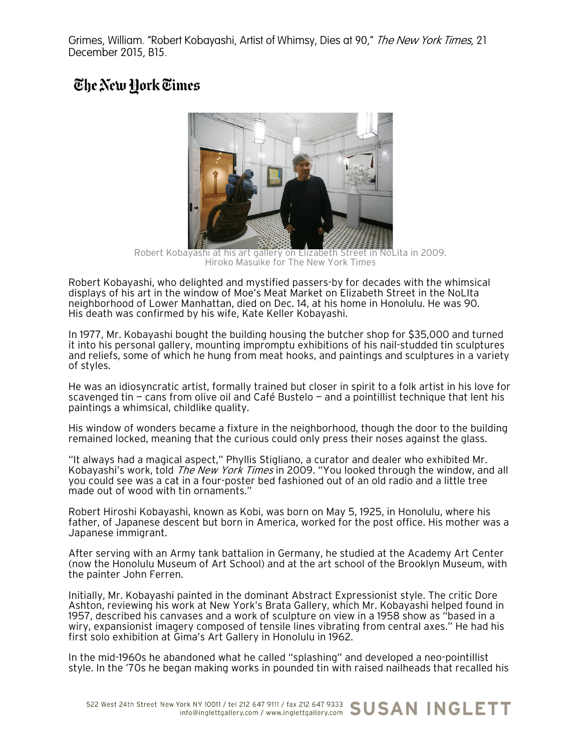Grimes, William. "Robert Kobayashi, Artist of Whimsy, Dies at 90," The New York Times, 21 December 2015, B15.

## The New Hork Times



Robert Kobayashi at his art gallery on Elizabeth Street in NoLita in 2009. Hiroko Masuike for The New York Times

Robert Kobayashi, who delighted and mystified passers-by for decades with the whimsical displays of his art in the window of Moe's Meat Market on Elizabeth Street in the NoLIta neighborhood of Lower Manhattan, died on Dec. 14, at his home in Honolulu. He was 90. His death was confirmed by his wife, Kate Keller Kobayashi.

In 1977, Mr. Kobayashi bought the building housing the butcher shop for \$35,000 and turned it into his personal gallery, mounting impromptu exhibitions of his nail-studded tin sculptures and reliefs, some of which he hung from meat hooks, and paintings and sculptures in a variety of styles.

He was an idiosyncratic artist, formally trained but closer in spirit to a folk artist in his love for scavenged tin — cans from olive oil and Café Bustelo — and a pointillist technique that lent his paintings a whimsical, childlike quality.

His window of wonders became a fixture in the neighborhood, though the door to the building remained locked, meaning that the curious could only press their noses against the glass.

"It always had a magical aspect," Phyllis Stigliano, a curator and dealer who exhibited Mr. Kobayashi's work, told *The New York Times* in 2009. "You looked through the window, and all you could see was a cat in a four-poster bed fashioned out of an old radio and a little tree made out of wood with tin ornaments."

Robert Hiroshi Kobayashi, known as Kobi, was born on May 5, 1925, in Honolulu, where his father, of Japanese descent but born in America, worked for the post office. His mother was a Japanese immigrant.

After serving with an Army tank battalion in Germany, he studied at the Academy Art Center (now the Honolulu Museum of Art School) and at the art school of the Brooklyn Museum, with the painter John Ferren.

Initially, Mr. Kobayashi painted in the dominant Abstract Expressionist style. The critic Dore Ashton, reviewing his work at New York's Brata Gallery, which Mr. Kobayashi helped found in 1957, described his canvases and a work of sculpture on view in a 1958 show as "based in a wiry, expansionist imagery composed of tensile lines vibrating from central axes." He had his first solo exhibition at Gima's Art Gallery in Honolulu in 1962.

In the mid-1960s he abandoned what he called "splashing" and developed a neo-pointillist style. In the '70s he began making works in pounded tin with raised nailheads that recalled his